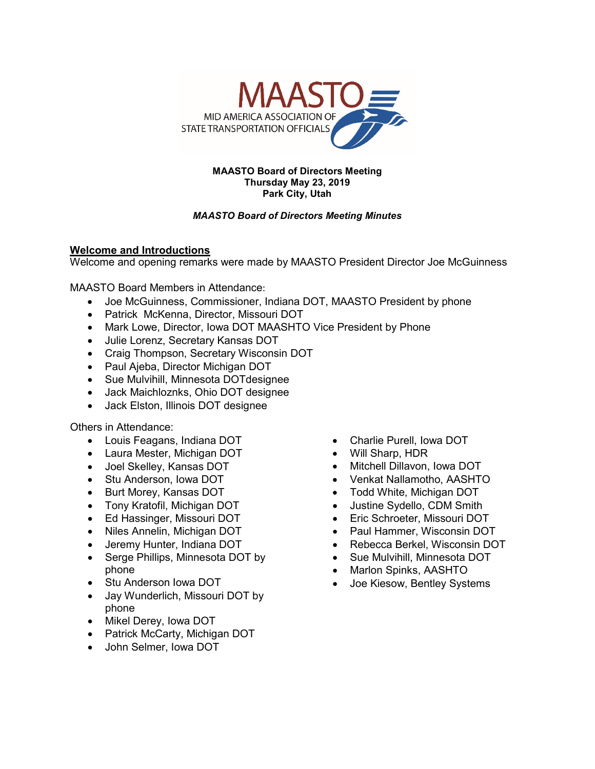

#### **MAASTO Board of Directors Meeting Thursday May 23, 2019 Park City, Utah**

### *MAASTO Board of Directors Meeting Minutes*

### **Welcome and Introductions**

Welcome and opening remarks were made by MAASTO President Director Joe McGuinness

MAASTO Board Members in Attendance:

- Joe McGuinness, Commissioner, Indiana DOT, MAASTO President by phone
- Patrick McKenna, Director, Missouri DOT
- Mark Lowe, Director, Iowa DOT MAASHTO Vice President by Phone
- Julie Lorenz, Secretary Kansas DOT
- Craig Thompson, Secretary Wisconsin DOT
- Paul Ajeba, Director Michigan DOT
- Sue Mulvihill, Minnesota DOTdesignee
- Jack Maichloznks, Ohio DOT designee
- Jack Elston, Illinois DOT designee

Others in Attendance:

- Louis Feagans, Indiana DOT
- Laura Mester, Michigan DOT
- Joel Skelley, Kansas DOT
- Stu Anderson, Iowa DOT
- Burt Morey, Kansas DOT
- Tony Kratofil, Michigan DOT
- Ed Hassinger, Missouri DOT
- Niles Annelin, Michigan DOT
- Jeremy Hunter, Indiana DOT
- Serge Phillips, Minnesota DOT by phone
- Stu Anderson Iowa DOT
- Jay Wunderlich, Missouri DOT by phone
- Mikel Derey, Iowa DOT
- Patrick McCarty, Michigan DOT
- John Selmer, Iowa DOT
- Charlie Purell, Iowa DOT
- Will Sharp, HDR
- Mitchell Dillavon, Iowa DOT
- Venkat Nallamotho, AASHTO
- Todd White, Michigan DOT
- Justine Sydello, CDM Smith
- Eric Schroeter, Missouri DOT
- Paul Hammer, Wisconsin DOT
- Rebecca Berkel, Wisconsin DOT
- Sue Mulvihill, Minnesota DOT
- Marlon Spinks, AASHTO
- Joe Kiesow, Bentley Systems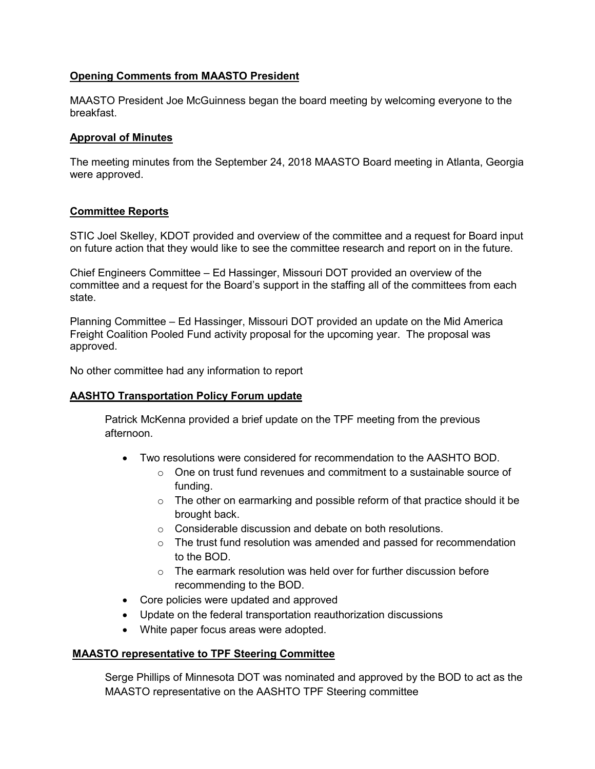## **Opening Comments from MAASTO President**

MAASTO President Joe McGuinness began the board meeting by welcoming everyone to the breakfast.

#### **Approval of Minutes**

The meeting minutes from the September 24, 2018 MAASTO Board meeting in Atlanta, Georgia were approved.

### **Committee Reports**

STIC Joel Skelley, KDOT provided and overview of the committee and a request for Board input on future action that they would like to see the committee research and report on in the future.

Chief Engineers Committee – Ed Hassinger, Missouri DOT provided an overview of the committee and a request for the Board's support in the staffing all of the committees from each state.

Planning Committee – Ed Hassinger, Missouri DOT provided an update on the Mid America Freight Coalition Pooled Fund activity proposal for the upcoming year. The proposal was approved.

No other committee had any information to report

### **AASHTO Transportation Policy Forum update**

Patrick McKenna provided a brief update on the TPF meeting from the previous afternoon.

- Two resolutions were considered for recommendation to the AASHTO BOD.
	- o One on trust fund revenues and commitment to a sustainable source of funding.
	- $\circ$  The other on earmarking and possible reform of that practice should it be brought back.
	- o Considerable discussion and debate on both resolutions.
	- o The trust fund resolution was amended and passed for recommendation to the BOD.
	- $\circ$  The earmark resolution was held over for further discussion before recommending to the BOD.
- Core policies were updated and approved
- Update on the federal transportation reauthorization discussions
- White paper focus areas were adopted.

### **MAASTO representative to TPF Steering Committee**

Serge Phillips of Minnesota DOT was nominated and approved by the BOD to act as the MAASTO representative on the AASHTO TPF Steering committee